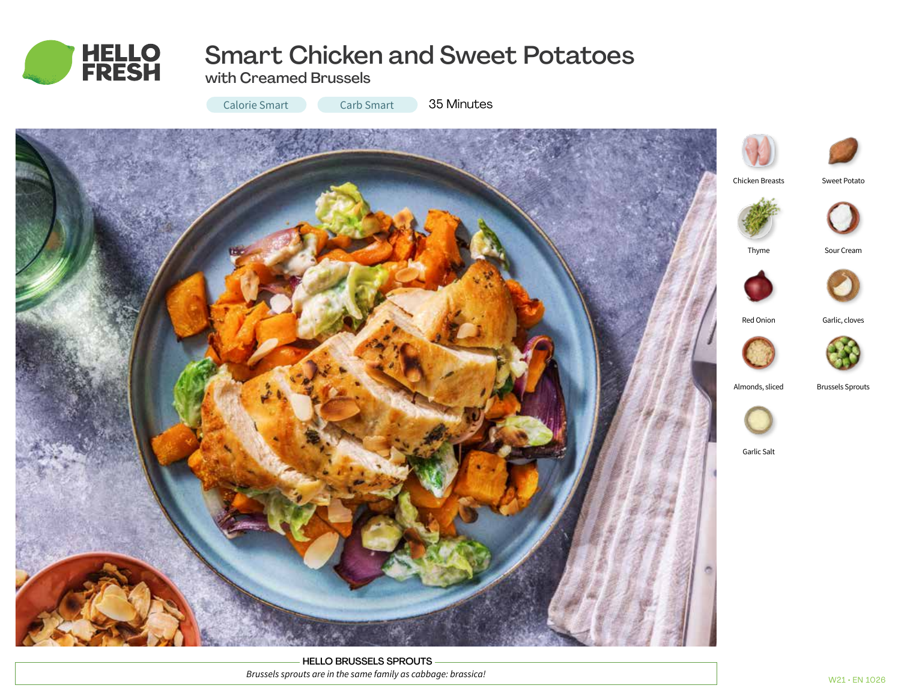

# Smart Chicken and Sweet Potatoes

with Creamed Brussels

Calorie Smart Carb Smart 35 Minutes



HELLO BRUSSELS SPROUTS *Brussels sprouts are in the same family as cabbage: brassica!*